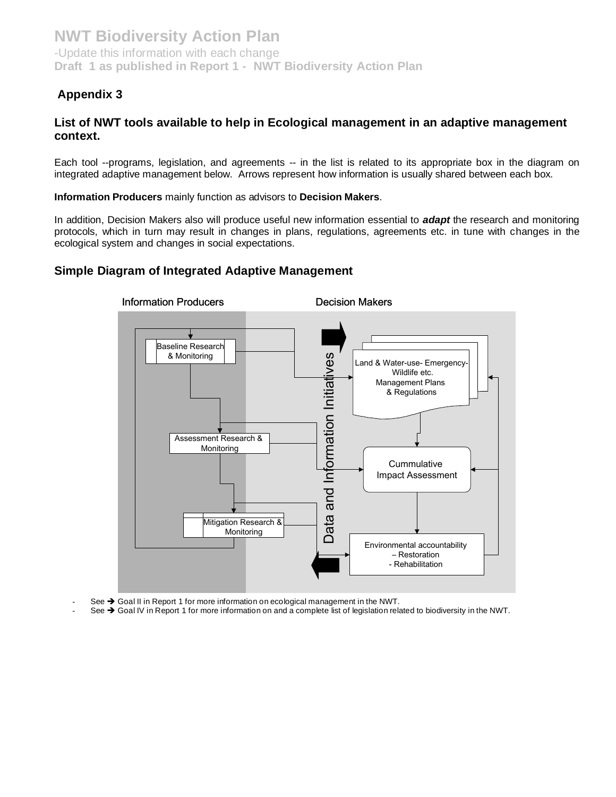## **Appendix 3**

## **List of NWT tools available to help in Ecological management in an adaptive management context.**

Each tool --programs, legislation, and agreements -- in the list is related to its appropriate box in the diagram on integrated adaptive management below. Arrows represent how information is usually shared between each box.

**Information Producers** mainly function as advisors to **Decision Makers**.

In addition, Decision Makers also will produce useful new information essential to *adapt* the research and monitoring protocols, which in turn may result in changes in plans, regulations, agreements etc. in tune with changes in the ecological system and changes in social expectations.

## **Simple Diagram of Integrated Adaptive Management**



- See  $\rightarrow$  Goal II in Report 1 for more information on ecological management in the NWT.
- See  $\rightarrow$  Goal IV in Report 1 for more information on and a complete list of legislation related to biodiversity in the NWT.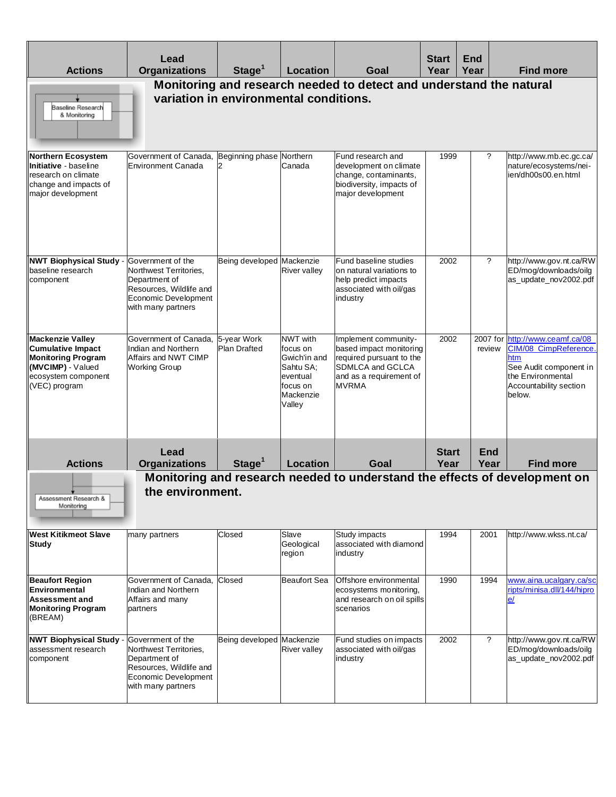| <b>Actions</b>                                                                                                                                | Lead<br><b>Organizations</b>                                                                                                          | Stage <sup>1</sup>                     | <b>Location</b>                                                                                  | Goal                                                                                                                                       | <b>Start</b><br>Year | <b>End</b><br>Year | <b>Find more</b>                                                                                                                         |
|-----------------------------------------------------------------------------------------------------------------------------------------------|---------------------------------------------------------------------------------------------------------------------------------------|----------------------------------------|--------------------------------------------------------------------------------------------------|--------------------------------------------------------------------------------------------------------------------------------------------|----------------------|--------------------|------------------------------------------------------------------------------------------------------------------------------------------|
| Baseline Research<br>& Monitoring                                                                                                             |                                                                                                                                       | variation in environmental conditions. |                                                                                                  | Monitoring and research needed to detect and understand the natural                                                                        |                      |                    |                                                                                                                                          |
| <b>Northern Ecosystem</b><br>Initiative - baseline<br>research on climate<br>change and impacts of<br>major development                       | Government of Canada, Beginning phase Northern<br><b>Environment Canada</b>                                                           | 12                                     | Canada                                                                                           | Fund research and<br>development on climate<br>change, contaminants,<br>biodiversity, impacts of<br>major development                      | 1999                 | ?                  | http://www.mb.ec.gc.ca/<br>nature/ecosystems/nei-<br>ien/dh00s00.en.html                                                                 |
| <b>NWT Biophysical Study -</b><br>baseline research<br>component                                                                              | Government of the<br>Northwest Territories,<br>Department of<br>Resources, Wildlife and<br>Economic Development<br>with many partners | Being developed Mackenzie              | <b>River valley</b>                                                                              | Fund baseline studies<br>on natural variations to<br>help predict impacts<br>associated with oil/gas<br>industry                           | 2002                 | ?                  | http://www.gov.nt.ca/RW<br>ED/mog/downloads/oilg<br>as_update_nov2002.pdf                                                                |
| <b>Mackenzie Valley</b><br><b>Cumulative Impact</b><br><b>Monitoring Program</b><br>(MVCIMP) - Valued<br>ecosystem component<br>(VEC) program | Government of Canada,<br>Indian and Northern<br>Affairs and NWT CIMP<br><b>Working Group</b>                                          | 5-year Work<br>Plan Drafted            | NWT with<br>focus on<br>Gwich'in and<br>Sahtu SA;<br>eventual<br>focus on<br>Mackenzie<br>Valley | Implement community-<br>based impact monitoring<br>required pursuant to the<br>SDMLCA and GCLCA<br>and as a requirement of<br><b>MVRMA</b> | 2002                 | 2007 for<br>review | http://www.ceamf.ca/08<br>CIM/08_CimpReference<br>htm<br>See Audit component in<br>the Environmental<br>Accountability section<br>below. |
|                                                                                                                                               | Lead                                                                                                                                  |                                        |                                                                                                  |                                                                                                                                            | <b>Start</b>         | <b>End</b>         |                                                                                                                                          |
| <b>Actions</b><br>Assessment Research &<br>Monitoring                                                                                         | <b>Organizations</b><br>the environment                                                                                               | Stage <sup>1</sup>                     | Location                                                                                         | Goal                                                                                                                                       | Year                 | Year               | <b>Find more</b><br>Monitoring and research needed to understand the effects of development on                                           |
| <b>West Kitikmeot Slave</b><br>Study                                                                                                          | many partners                                                                                                                         | Closed                                 | Slave<br>Geological<br>region                                                                    | Study impacts<br>associated with diamond<br>industry                                                                                       | 1994                 | 2001               | http://www.wkss.nt.ca/                                                                                                                   |
| <b>Beaufort Region</b><br>Environmental<br>Assessment and<br><b>Monitoring Program</b><br>(BREAM)                                             | Government of Canada,<br>Indian and Northern<br>Affairs and many<br>partners                                                          | Closed                                 | Beaufort Sea                                                                                     | Offshore environmental<br>ecosystems monitoring.<br>and research on oil spills<br>scenarios                                                | 1990                 | 1994               | www.aina.ucalgary.ca/sc<br>ripts/minisa.dll/144/hipro<br>e/                                                                              |
| <b>NWT Biophysical Study -</b><br>assessment research<br>component                                                                            | Government of the<br>Northwest Territories,<br>Department of<br>Resources, Wildlife and<br>Economic Development<br>with many partners | Being developed Mackenzie              | <b>River valley</b>                                                                              | Fund studies on impacts<br>associated with oil/gas<br>industry                                                                             | 2002                 | $\overline{?}$     | http://www.gov.nt.ca/RW<br>ED/mog/downloads/oilg<br>as_update_nov2002.pdf                                                                |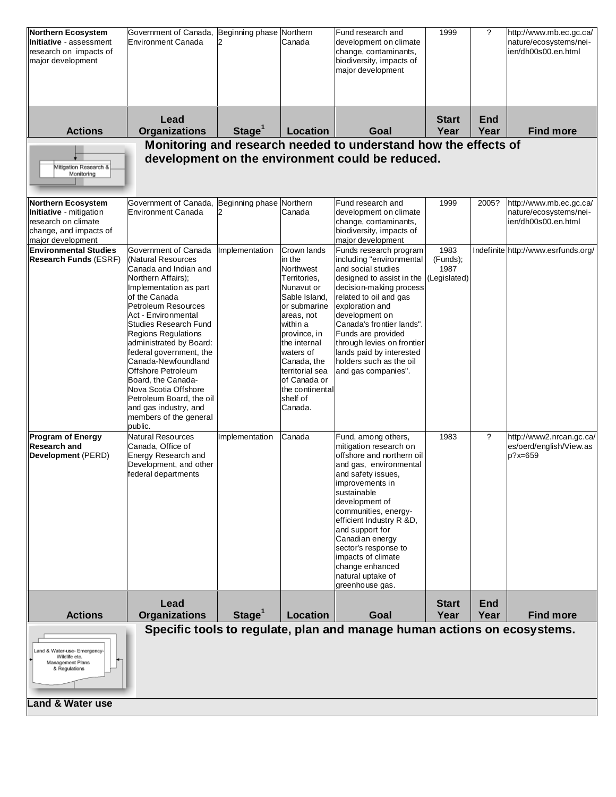| <b>Land &amp; Water use</b>                                                                                                |                                                                                                                                                                                                                                                                                                                                                                                                                                                                                             |                               |                                                                                                                                                                                                                                                                      |                                                                                                                                                                                                                                                                                                                                                                                   |                                          |                    |                                                                          |
|----------------------------------------------------------------------------------------------------------------------------|---------------------------------------------------------------------------------------------------------------------------------------------------------------------------------------------------------------------------------------------------------------------------------------------------------------------------------------------------------------------------------------------------------------------------------------------------------------------------------------------|-------------------------------|----------------------------------------------------------------------------------------------------------------------------------------------------------------------------------------------------------------------------------------------------------------------|-----------------------------------------------------------------------------------------------------------------------------------------------------------------------------------------------------------------------------------------------------------------------------------------------------------------------------------------------------------------------------------|------------------------------------------|--------------------|--------------------------------------------------------------------------|
| Land & Water-use- Emergency-<br>Wildlife etc.<br>Management Plans<br>& Regulations                                         |                                                                                                                                                                                                                                                                                                                                                                                                                                                                                             |                               |                                                                                                                                                                                                                                                                      | Specific tools to regulate, plan and manage human actions on ecosystems.                                                                                                                                                                                                                                                                                                          |                                          |                    |                                                                          |
| <b>Actions</b>                                                                                                             | Lead<br><b>Organizations</b>                                                                                                                                                                                                                                                                                                                                                                                                                                                                | Stage <sup>1</sup>            | Location                                                                                                                                                                                                                                                             | Goal                                                                                                                                                                                                                                                                                                                                                                              | <b>Start</b><br>Year                     | <b>End</b><br>Year | <b>Find more</b>                                                         |
| <b>Program of Energy</b><br>Research and<br>Development (PERD)                                                             | <b>Natural Resources</b><br>Canada, Office of<br>Energy Research and<br>Development, and other<br>federal departments                                                                                                                                                                                                                                                                                                                                                                       | Implementation                | Canada                                                                                                                                                                                                                                                               | Fund, among others,<br>mitigation research on<br>offshore and northern oil<br>and gas, environmental<br>and safety issues,<br>improvements in<br>sustainable<br>development of<br>communities, energy-<br>efficient Industry R &D,<br>and support for<br>Canadian energy<br>sector's response to<br>impacts of climate<br>change enhanced<br>natural uptake of<br>greenhouse gas. | 1983                                     | $\overline{\cdot}$ | http://www2.nrcan.gc.ca/<br>es/oerd/english/View.as<br>p?x=659           |
| <b>Environmental Studies</b><br><b>Research Funds (ESRF)</b>                                                               | Government of Canada<br>(Natural Resources<br>Canada and Indian and<br>Northern Affairs);<br>Implementation as part<br>of the Canada<br>Petroleum Resources<br>Act - Environmental<br><b>Studies Research Fund</b><br><b>Regions Regulations</b><br>administrated by Board:<br>federal government, the<br>Canada-Newfoundland<br>Offshore Petroleum<br>Board, the Canada-<br>Nova Scotia Offshore<br>Petroleum Board, the oil<br>and gas industry, and<br>members of the general<br>public. | Implementation                | Crown lands<br>in the<br>Northwest<br>Territories,<br>Nunavut or<br>Sable Island,<br>or submarine<br>areas, not<br>within a<br>province, in<br>the internal<br>waters of<br>Canada, the<br>territorial sea<br>of Canada or<br>the continental<br>shelf of<br>Canada. | Funds research program<br>including "environmental<br>and social studies<br>designed to assist in the<br>decision-making process<br>related to oil and gas<br>exploration and<br>development on<br>Canada's frontier lands".<br>Funds are provided<br>through levies on frontier<br>lands paid by interested<br>holders such as the oil<br>and gas companies".                    | 1983<br>(Funds);<br>1987<br>(Legislated) |                    | Indefinite http://www.esrfunds.org/                                      |
| <b>Northern Ecosystem</b><br>Initiative - mitigation<br>research on climate<br>change, and impacts of<br>major development | Government of Canada,<br>Environment Canada                                                                                                                                                                                                                                                                                                                                                                                                                                                 | Beginning phase Northern<br>2 | Canada                                                                                                                                                                                                                                                               | Fund research and<br>development on climate<br>change, contaminants,<br>biodiversity, impacts of<br>major development                                                                                                                                                                                                                                                             | 1999                                     | 2005?              | http://www.mb.ec.gc.ca/<br>nature/ecosystems/nei-<br>ien/dh00s00.en.html |
| Mitigation Research &<br>Monitoring                                                                                        |                                                                                                                                                                                                                                                                                                                                                                                                                                                                                             |                               |                                                                                                                                                                                                                                                                      | Monitoring and research needed to understand how the effects of<br>development on the environment could be reduced.                                                                                                                                                                                                                                                               |                                          |                    |                                                                          |
| <b>Actions</b>                                                                                                             | Lead<br><b>Organizations</b>                                                                                                                                                                                                                                                                                                                                                                                                                                                                | Stage <sup>1</sup>            | Location                                                                                                                                                                                                                                                             | Goal                                                                                                                                                                                                                                                                                                                                                                              | <b>Start</b><br>Year                     | <b>End</b><br>Year | <b>Find more</b>                                                         |
| <b>Initiative</b> - assessment<br>research on impacts of<br>major development                                              | Environment Canada                                                                                                                                                                                                                                                                                                                                                                                                                                                                          | $\overline{2}$                | Canada                                                                                                                                                                                                                                                               | development on climate<br>change, contaminants,<br>biodiversity, impacts of<br>major development                                                                                                                                                                                                                                                                                  |                                          |                    | nature/ecosystems/nei-<br>ien/dh00s00.en.html                            |
| Northern Ecosystem                                                                                                         | Government of Canada, Beginning phase Northern                                                                                                                                                                                                                                                                                                                                                                                                                                              |                               |                                                                                                                                                                                                                                                                      | Fund research and                                                                                                                                                                                                                                                                                                                                                                 | 1999                                     | ?                  | http://www.mb.ec.gc.ca/                                                  |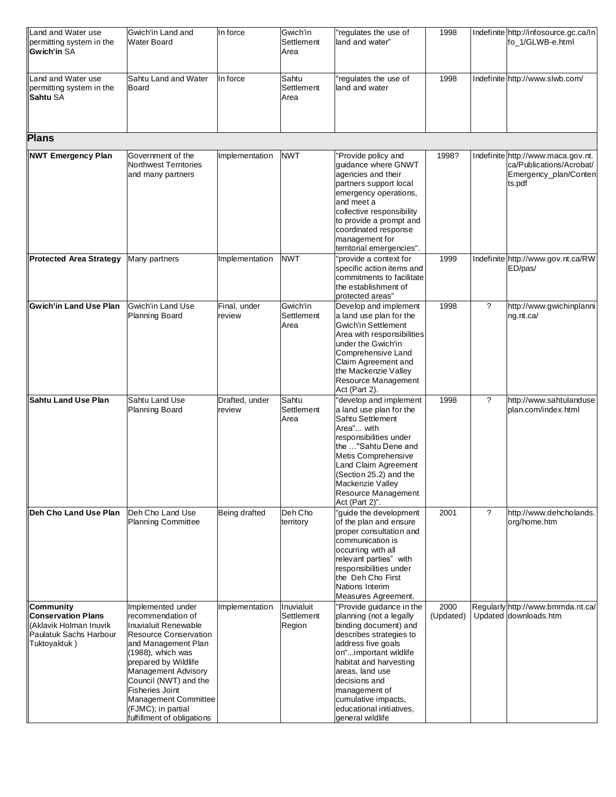| Land and Water use<br>permitting system in the<br><b>Gwich'in SA</b>                                       | Gwich'in Land and<br><b>Water Board</b>                                                                                                                                                                                                                                                                                         | In force                 | Gwich'in<br>Settlement<br>Area     | regulates the use of<br>land and water"                                                                                                                                                                                                                                                                      | 1998              |                          | Indefinite http://infosource.gc.ca/In<br>fo_1/GLWB-e.html                                         |
|------------------------------------------------------------------------------------------------------------|---------------------------------------------------------------------------------------------------------------------------------------------------------------------------------------------------------------------------------------------------------------------------------------------------------------------------------|--------------------------|------------------------------------|--------------------------------------------------------------------------------------------------------------------------------------------------------------------------------------------------------------------------------------------------------------------------------------------------------------|-------------------|--------------------------|---------------------------------------------------------------------------------------------------|
| Land and Water use<br>permitting system in the<br><b>Sahtu SA</b>                                          | Sahtu Land and Water<br>Board                                                                                                                                                                                                                                                                                                   | In force                 | Sahtu<br>Settlement<br>Area        | requlates the use of<br>land and water                                                                                                                                                                                                                                                                       | 1998              |                          | Indefinite http://www.slwb.com/                                                                   |
| <b>Plans</b>                                                                                               |                                                                                                                                                                                                                                                                                                                                 |                          |                                    |                                                                                                                                                                                                                                                                                                              |                   |                          |                                                                                                   |
| <b>NWT Emergency Plan</b>                                                                                  | Government of the<br><b>Northwest Territories</b><br>and many partners                                                                                                                                                                                                                                                          | Implementation           | <b>NWT</b>                         | "Provide policy and<br>guidance where GNWT<br>agencies and their<br>partners support local<br>emergency operations,<br>and meet a<br>collective responsibility<br>to provide a prompt and<br>coordinated response<br>management for<br>territorial emergencies".                                             | 1998?             |                          | Indefinite http://www.maca.gov.nt.<br>ca/Publications/Acrobat/<br>Emergency_plan/Conten<br>ts.pdf |
| <b>Protected Area Strategy</b>                                                                             | Many partners                                                                                                                                                                                                                                                                                                                   | Implementation           | <b>NWT</b>                         | provide a context for<br>specific action items and<br>commitments to facilitate<br>the establishment of<br>protected areas"                                                                                                                                                                                  | 1999              |                          | Indefinite http://www.gov.nt.ca/RW<br>ED/pas/                                                     |
| <b>Gwich'in Land Use Plan</b>                                                                              | <b>Gwich'in Land Use</b><br>Planning Board                                                                                                                                                                                                                                                                                      | Final, under<br>review   | Gwich'in<br>Settlement<br>Area     | Develop and implement<br>a land use plan for the<br>Gwich'in Settlement<br>Area with responsibilities<br>under the Gwich'in<br>Comprehensive Land<br>Claim Agreement and<br>the Mackenzie Valley<br>Resource Management<br>Act (Part 2).                                                                     | 1998              | $\overline{\phantom{a}}$ | http://www.gwichinplanni<br>ng.nt.ca/                                                             |
| <b>Sahtu Land Use Plan</b>                                                                                 | Sahtu Land Use<br>Planning Board                                                                                                                                                                                                                                                                                                | Drafted, under<br>review | Sahtu<br>Settlement<br>Area        | develop and implement<br>a land use plan for the<br>Sahtu Settlement<br>Area" with<br>responsibilities under<br>the "Sahtu Dene and<br>Metis Comprehensive<br>Land Claim Agreement<br>(Section 25.2) and the<br>Mackenzie Valley<br><b>Resource Management</b><br>Act (Part 2)".                             | 1998              | $\overline{\cdot}$       | http://www.sahtulanduse<br>plan.com/index.html                                                    |
| Deh Cho Land Use Plan                                                                                      | Deh Cho Land Use<br><b>Planning Committee</b>                                                                                                                                                                                                                                                                                   | Being drafted            | Deh Cho<br>territory               | "guide the development<br>of the plan and ensure<br>proper consultation and<br>communication is<br>occurring with all<br>relevant parties" with<br>responsibilities under<br>the Deh Cho First<br>Nations Interim<br>Measures Agreement.                                                                     | 2001              | $\overline{?}$           | http://www.dehcholands.<br>org/home.htm                                                           |
| Community<br><b>Conservation Plans</b><br>(Aklavik Holman Inuvik<br>Paulatuk Sachs Harbour<br>Tuktoyaktuk) | Implemented under<br>recommendation of<br>Inuvialuit Renewable<br><b>Resource Conservation</b><br>and Management Plan<br>(1988), which was<br>prepared by Wildlife<br><b>Management Advisory</b><br>Council (NWT) and the<br><b>Fisheries Joint</b><br>Management Committee<br>(FJMC); in partial<br>fulfillment of obligations | Implementation           | Inuvialuit<br>Settlement<br>Region | 'Provide guidance in the<br>planning (not a legally<br>binding document) and<br>describes strategies to<br>address five goals<br>on"important wildlife<br>habitat and harvesting<br>areas, land use<br>decisions and<br>management of<br>cumulative impacts,<br>educational initiatives,<br>general wildlife | 2000<br>(Updated) |                          | Regularly http://www.bmmda.nt.ca/<br>Updated downloads.htm                                        |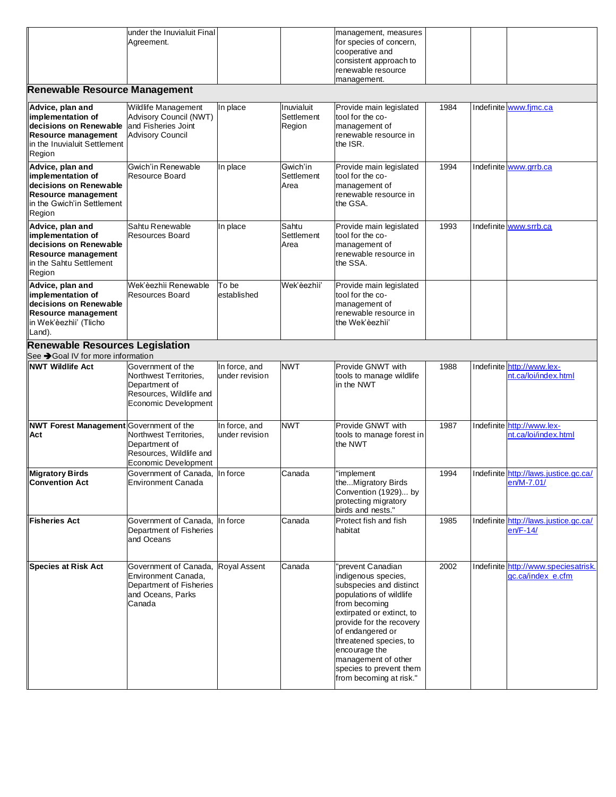| lunder the Inuvialuit Finall | management, measures    |  |
|------------------------------|-------------------------|--|
| Agreement.                   | for species of concern, |  |
|                              | cooperative and         |  |
|                              | consistent approach to  |  |
|                              | renewable resource      |  |
|                              | management.             |  |

## **Renewable Resource Management**

| <b>Renewable Resource Management</b>                                                                                                    |                                                                                                                     |                                 |                                    |                                                                                                                                                                                                                                                                                                                      |      |                                                           |
|-----------------------------------------------------------------------------------------------------------------------------------------|---------------------------------------------------------------------------------------------------------------------|---------------------------------|------------------------------------|----------------------------------------------------------------------------------------------------------------------------------------------------------------------------------------------------------------------------------------------------------------------------------------------------------------------|------|-----------------------------------------------------------|
| Advice, plan and<br>implementation of<br>decisions on Renewable<br><b>Resource management</b><br>in the Inuvialuit Settlement<br>Region | Wildlife Management<br>Advisory Council (NWT)<br>and Fisheries Joint<br><b>Advisory Council</b>                     | In place                        | Inuvialuit<br>Settlement<br>Region | Provide main legislated<br>tool for the co-<br>management of<br>renewable resource in<br>the ISR.                                                                                                                                                                                                                    | 1984 | Indefinite www.fimc.ca                                    |
| Advice, plan and<br>implementation of<br>decisions on Renewable<br><b>Resource management</b><br>in the Gwich'in Settlement<br>Region   | Gwich'in Renewable<br>Resource Board                                                                                | In place                        | Gwich'in<br>Settlement<br>Area     | Provide main legislated<br>tool for the co-<br>management of<br>renewable resource in<br>the GSA.                                                                                                                                                                                                                    | 1994 | Indefinite www.grrb.ca                                    |
| Advice, plan and<br>implementation of<br>decisions on Renewable<br><b>Resource management</b><br>in the Sahtu Settlement<br>Region      | Sahtu Renewable<br><b>Resources Board</b>                                                                           | In place                        | Sahtu<br>Settlement<br>Area        | Provide main legislated<br>tool for the co-<br>management of<br>renewable resource in<br>the SSA.                                                                                                                                                                                                                    | 1993 | Indefinite www.srrb.ca                                    |
| Advice, plan and<br>implementation of<br>decisions on Renewable<br><b>Resource management</b><br>in Wek'èezhìi' (Tlicho<br>Land).       | Wek'èezhìi Renewable<br>Resources Board                                                                             | To be<br>established            | Wek'èezhìi'                        | Provide main legislated<br>tool for the co-<br>management of<br>renewable resource in<br>the Wek'èezhìi'                                                                                                                                                                                                             |      |                                                           |
| <b>Renewable Resources Legislation</b><br>See → Goal IV for more information                                                            |                                                                                                                     |                                 |                                    |                                                                                                                                                                                                                                                                                                                      |      |                                                           |
| <b>NWT Wildlife Act</b>                                                                                                                 | Government of the<br>Northwest Territories,<br>Department of<br>Resources, Wildlife and<br>Economic Development     | In force, and<br>under revision | <b>NWT</b>                         | Provide GNWT with<br>tools to manage wildlife<br>in the NWT                                                                                                                                                                                                                                                          | 1988 | Indefinite http://www.lex-<br>nt.ca/loi/index.html        |
| NWT Forest Management Government of the<br>Act                                                                                          | Northwest Territories,<br>Department of<br>Resources, Wildlife and<br>Economic Development                          | In force, and<br>under revision | <b>NWT</b>                         | Provide GNWT with<br>tools to manage forest in<br>the NWT                                                                                                                                                                                                                                                            | 1987 | Indefinite http://www.lex-<br>nt.ca/loi/index.html        |
| <b>Migratory Birds</b><br><b>Convention Act</b>                                                                                         | Government of Canada, In force<br><b>Environment Canada</b>                                                         |                                 | Canada                             | 'implement<br>theMigratory Birds<br>Convention (1929) by<br>protecting migratory<br>birds and nests."                                                                                                                                                                                                                | 1994 | Indefinite http://laws.justice.gc.ca/<br>en/M-7.01/       |
| <b>Fisheries Act</b>                                                                                                                    | Government of Canada, In force<br>Department of Fisheries<br>and Oceans                                             |                                 | Canada                             | Protect fish and fish<br>habitat                                                                                                                                                                                                                                                                                     | 1985 | Indefinite http://laws.justice.gc.ca/<br>$en/F-14/$       |
| <b>Species at Risk Act</b>                                                                                                              | Government of Canada, Royal Assent<br>Environment Canada,<br>Department of Fisheries<br>and Oceans, Parks<br>Canada |                                 | Canada                             | 'prevent Canadian<br>indigenous species,<br>subspecies and distinct<br>populations of wildlife<br>from becoming<br>extirpated or extinct, to<br>provide for the recovery<br>of endangered or<br>threatened species, to<br>encourage the<br>management of other<br>species to prevent them<br>from becoming at risk." | 2002 | Indefinite http://www.speciesatrisk.<br>gc.ca/index e.cfm |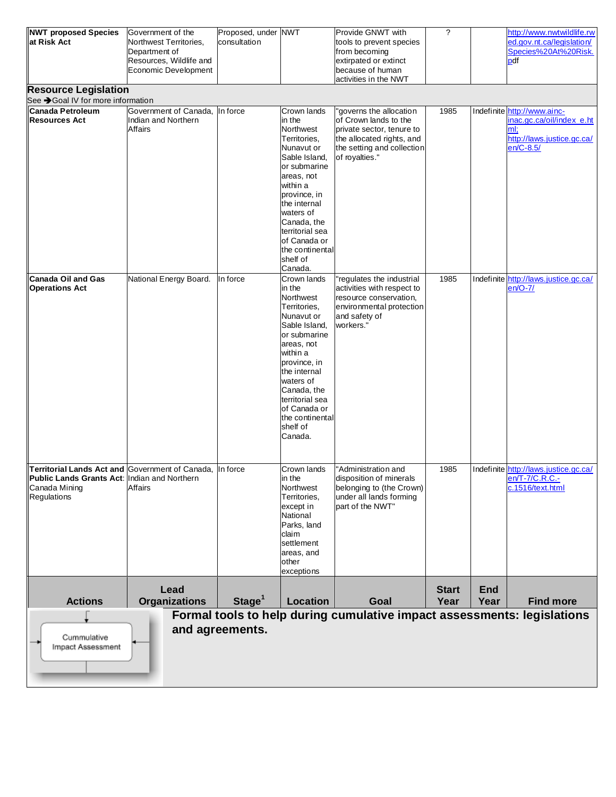| NWT proposed Species<br>at Risk Act                                                                                                      | Government of the<br>Northwest Territories,<br>Department of<br>Resources, Wildlife and<br>Economic Development | Proposed, under NWT<br>consultation |                                                                                                                                                                                                                                                                      | Provide GNWT with<br>tools to prevent species<br>from becoming<br>extirpated or extinct<br>because of human<br>activities in the NWT                      | $\gamma$     |            | http://www.nwtwildlife.rw<br>ed.gov.nt.ca/legislation/<br>Species%20At%20Risk.<br>pdf                      |  |  |
|------------------------------------------------------------------------------------------------------------------------------------------|-----------------------------------------------------------------------------------------------------------------|-------------------------------------|----------------------------------------------------------------------------------------------------------------------------------------------------------------------------------------------------------------------------------------------------------------------|-----------------------------------------------------------------------------------------------------------------------------------------------------------|--------------|------------|------------------------------------------------------------------------------------------------------------|--|--|
| <b>Resource Legislation</b><br>See → Goal IV for more information                                                                        |                                                                                                                 |                                     |                                                                                                                                                                                                                                                                      |                                                                                                                                                           |              |            |                                                                                                            |  |  |
| Canada Petroleum<br><b>Resources Act</b>                                                                                                 | Government of Canada,<br>Indian and Northern<br>Affairs                                                         | In force                            | Crown lands<br>in the<br>Northwest<br>Territories.<br>Nunavut or<br>Sable Island,<br>or submarine<br>areas, not<br>within a<br>province, in<br>the internal<br>waters of<br>Canada, the<br>territorial sea<br>of Canada or<br>the continental<br>shelf of<br>Canada. | governs the allocation<br>of Crown lands to the<br>private sector, tenure to<br>the allocated rights, and<br>the setting and collection<br>of royalties." | 1985         |            | Indefinite http://www.ainc-<br>inac.gc.ca/oil/index e.ht<br>ml:<br>http://laws.justice.gc.ca/<br>en/C-8.5/ |  |  |
| <b>Canada Oil and Gas</b><br><b>Operations Act</b>                                                                                       | National Energy Board.                                                                                          | In force                            | Crown lands<br>in the<br>Northwest<br>Territories,<br>Nunavut or<br>Sable Island,<br>or submarine<br>areas, not<br>within a<br>province, in<br>the internal<br>waters of<br>Canada, the<br>territorial sea<br>of Canada or<br>the continental<br>shelf of<br>Canada. | regulates the industrial<br>activities with respect to<br>resource conservation,<br>environmental protection<br>and safety of<br>workers.'                | 1985         |            | Indefinite http://laws.justice.gc.ca/<br>$en/O-7/$                                                         |  |  |
| Territorial Lands Act and Government of Canada, In force<br>Public Lands Grants Act: Indian and Northern<br>Canada Mining<br>Regulations | Affairs                                                                                                         |                                     | Crown lands<br>in the<br>Northwest<br>Territories,<br>except in<br>National<br>Parks, land<br>claim<br>settlement<br>areas, and<br>other<br>exceptions                                                                                                               | 'Administration and<br>disposition of minerals<br>belonging to (the Crown)<br>under all lands forming<br>part of the NWT"                                 | 1985         |            | Indefinite http://laws.justice.gc.ca/<br>en/T-7/C.R.C.-<br>c.1516/text.html                                |  |  |
|                                                                                                                                          | Lead                                                                                                            |                                     |                                                                                                                                                                                                                                                                      |                                                                                                                                                           | <b>Start</b> | <b>End</b> |                                                                                                            |  |  |
| <b>Actions</b>                                                                                                                           | <b>Organizations</b>                                                                                            | Stage <sup>1</sup>                  | <b>Location</b>                                                                                                                                                                                                                                                      | Goal                                                                                                                                                      | Year         | Year       | <b>Find more</b>                                                                                           |  |  |
| Cummulative<br>Impact Assessment                                                                                                         |                                                                                                                 | and agreements.                     |                                                                                                                                                                                                                                                                      | Formal tools to help during cumulative impact assessments: legislations                                                                                   |              |            |                                                                                                            |  |  |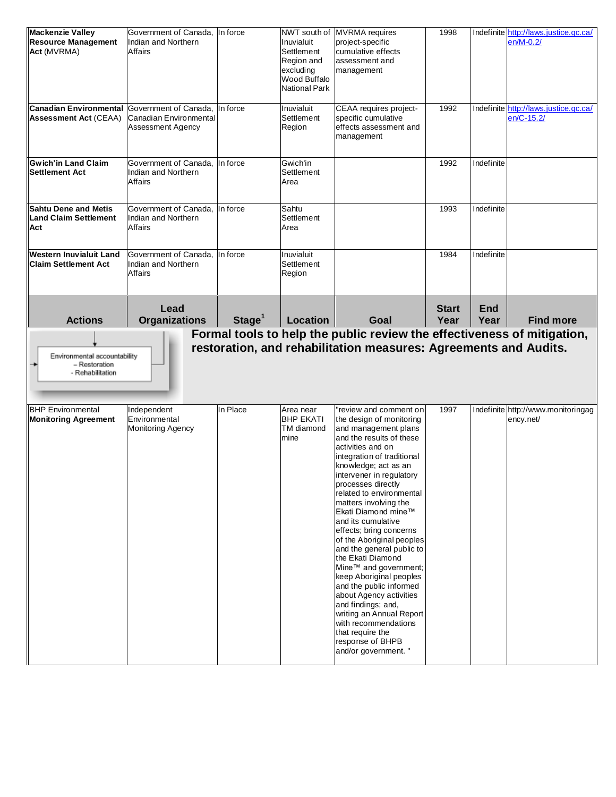| <b>Mackenzie Valley</b><br><b>Resource Management</b><br>Act (MVRMA) | Government of Canada, In force<br>Indian and Northern<br><b>Affairs</b> |                    | NWT south of<br>Inuvialuit<br>Settlement<br>Region and<br>excluding<br>Wood Buffalo<br>National Park | <b>MVRMA</b> requires<br>project-specific<br>cumulative effects<br>assessment and<br>management | 1998         |            | Indefinite http://laws.justice.gc.ca/<br>en/M-0.2/  |
|----------------------------------------------------------------------|-------------------------------------------------------------------------|--------------------|------------------------------------------------------------------------------------------------------|-------------------------------------------------------------------------------------------------|--------------|------------|-----------------------------------------------------|
| <b>Canadian Environmental</b><br><b>Assessment Act (CEAA)</b>        | Government of Canada,<br>Canadian Environmental<br>Assessment Agency    | In force           | Inuvialuit<br>Settlement<br>Region                                                                   | CEAA requires project-<br>specific cumulative<br>effects assessment and<br>management           | 1992         |            | Indefinite http://laws.justice.gc.ca/<br>en/C-15.2/ |
| <b>Gwich'in Land Claim</b><br><b>Settlement Act</b>                  | Government of Canada,<br>Indian and Northern<br>Affairs                 | In force           | Gwich'in<br>Settlement<br>Area                                                                       |                                                                                                 | 1992         | Indefinite |                                                     |
| <b>Sahtu Dene and Metis</b><br><b>Land Claim Settlement</b><br>Act   | Government of Canada. In force<br>Indian and Northern<br>Affairs        |                    | Sahtu<br>Settlement<br>Area                                                                          |                                                                                                 | 1993         | Indefinite |                                                     |
| Western Inuvialuit Land<br><b>Claim Settlement Act</b>               | Government of Canada,<br>Indian and Northern<br>Affairs                 | In force           | Inuvialuit<br>Settlement<br>Region                                                                   |                                                                                                 | 1984         | Indefinite |                                                     |
|                                                                      | Lead                                                                    |                    |                                                                                                      |                                                                                                 | <b>Start</b> | <b>End</b> | <b>Find more</b>                                    |
| <b>Actions</b>                                                       | <b>Organizations</b>                                                    | Stage <sup>1</sup> | Location                                                                                             | Goal<br>Formal tools to help the public review the effectiveness of mitigation,                 | Year         | Year       |                                                     |
| Environmental accountability<br>- Restoration<br>- Rehabilitation    |                                                                         |                    |                                                                                                      | restoration, and rehabilitation measures: Agreements and Audits.                                |              |            |                                                     |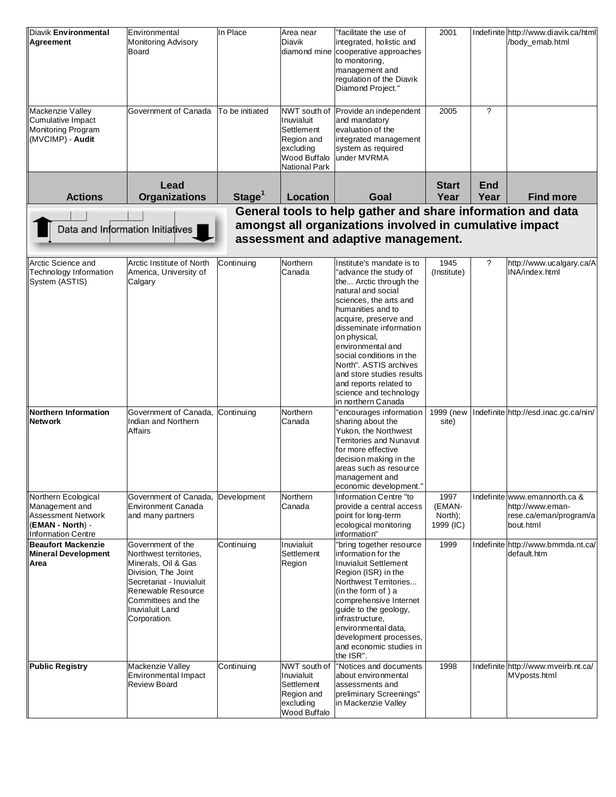| Diavik Environmental<br>Agreement                                                                     | Environmental<br><b>Monitoring Advisory</b><br>Board                                                                                                                                                        | In Place           | Area near<br><b>Diavik</b><br>diamond mine                                                           | "facilitate the use of<br>integrated, holistic and<br>cooperative approaches<br>to monitoring,<br>management and<br>regulation of the Diavik<br>Diamond Project."                                                                                                                                                                                                                                      | 2001                                   |                    | Indefinite http://www.diavik.ca/html<br>/body emab.html                                  |
|-------------------------------------------------------------------------------------------------------|-------------------------------------------------------------------------------------------------------------------------------------------------------------------------------------------------------------|--------------------|------------------------------------------------------------------------------------------------------|--------------------------------------------------------------------------------------------------------------------------------------------------------------------------------------------------------------------------------------------------------------------------------------------------------------------------------------------------------------------------------------------------------|----------------------------------------|--------------------|------------------------------------------------------------------------------------------|
| Mackenzie Valley<br>Cumulative Impact<br>Monitoring Program<br>(MVCIMP) - Audit                       | Government of Canada                                                                                                                                                                                        | To be initiated    | NWT south of<br>Inuvialuit<br>Settlement<br>Region and<br>excluding<br>Wood Buffalo<br>National Park | Provide an independent<br>and mandatory<br>evaluation of the<br>integrated management<br>system as required<br>under MVRMA                                                                                                                                                                                                                                                                             | 2005                                   | ?                  |                                                                                          |
| <b>Actions</b>                                                                                        | Lead<br><b>Organizations</b>                                                                                                                                                                                | Stage <sup>1</sup> | Location                                                                                             | Goal                                                                                                                                                                                                                                                                                                                                                                                                   | <b>Start</b><br>Year                   | <b>End</b><br>Year | <b>Find more</b>                                                                         |
|                                                                                                       |                                                                                                                                                                                                             |                    |                                                                                                      | General tools to help gather and share information and data                                                                                                                                                                                                                                                                                                                                            |                                        |                    |                                                                                          |
|                                                                                                       |                                                                                                                                                                                                             |                    |                                                                                                      | amongst all organizations involved in cumulative impact                                                                                                                                                                                                                                                                                                                                                |                                        |                    |                                                                                          |
|                                                                                                       | Data and Information Initiatives                                                                                                                                                                            |                    |                                                                                                      |                                                                                                                                                                                                                                                                                                                                                                                                        |                                        |                    |                                                                                          |
|                                                                                                       |                                                                                                                                                                                                             |                    |                                                                                                      | assessment and adaptive management.                                                                                                                                                                                                                                                                                                                                                                    |                                        |                    |                                                                                          |
| Arctic Science and<br>Technology Information<br>System (ASTIS)                                        | Arctic Institute of North<br>America, University of<br>Calgary                                                                                                                                              | Continuing         | Northern<br>Canada                                                                                   | Institute's mandate is to<br>advance the study of<br>the Arctic through the<br>natural and social<br>sciences, the arts and<br>humanities and to<br>acquire, preserve and<br>disseminate information<br>on physical,<br>environmental and<br>social conditions in the<br>North". ASTIS archives<br>and store studies results<br>and reports related to<br>science and technology<br>in northern Canada | 1945<br>(Institute)                    | ?                  | http://www.ucalgary.ca/A<br>INA/index.html                                               |
| Northern Information<br><b>Network</b>                                                                | Government of Canada,<br>Indian and Northern<br>Affairs                                                                                                                                                     | Continuing         | Northern<br>Canada                                                                                   | encourages information<br>sharing about the<br>Yukon, the Northwest<br><b>Territories and Nunavut</b><br>for more effective<br>decision making in the<br>areas such as resource<br>management and<br>economic development."                                                                                                                                                                            | 1999 (new<br>site)                     |                    | Indefinite http://esd.inac.gc.ca/nin/                                                    |
| Northern Ecological<br>Management and<br>Assessment Network<br>(EMAN - North) -<br>Information Centre | Government of Canada, Development<br>Environment Canada<br>and many partners                                                                                                                                |                    | Northern<br>Canada                                                                                   | Information Centre "to<br>provide a central access<br>point for long-term<br>ecological monitoring<br>information"                                                                                                                                                                                                                                                                                     | 1997<br>(EMAN-<br>North);<br>1999 (IC) |                    | Indefinite www.emannorth.ca &<br>http://www.eman-<br>rese.ca/eman/program/a<br>bout.html |
| <b>Beaufort Mackenzie</b><br><b>Mineral Development</b><br>Area                                       | Government of the<br>Northwest territories,<br>Minerals, Oil & Gas<br>Division, The Joint<br>Secretariat - Inuvialuit<br>Renewable Resource<br>Committees and the<br><b>Inuvialuit Land</b><br>Corporation. | Continuing         | Inuvialuit<br>Settlement<br>Region                                                                   | "bring together resource<br>information for the<br><b>Inuvialuit Settlement</b><br>Region (ISR) in the<br>Northwest Territories<br>(in the form of) a<br>comprehensive Internet<br>guide to the geology,<br>infrastructure,<br>environmental data,<br>development processes,<br>and economic studies in<br>the ISR".                                                                                   | 1999                                   |                    | Indefinite http://www.bmmda.nt.ca/<br>default.htm                                        |
| <b>Public Registry</b>                                                                                | Mackenzie Valley<br>Environmental Impact<br><b>Review Board</b>                                                                                                                                             | Continuing         | NWT south of<br>Inuvialuit<br>Settlement<br>Region and<br>excluding<br>Wood Buffalo                  | "Notices and documents<br>about environmental<br>assessments and<br>preliminary Screenings"<br>in Mackenzie Valley                                                                                                                                                                                                                                                                                     | 1998                                   |                    | Indefinite http://www.mveirb.nt.ca/<br>MVposts.html                                      |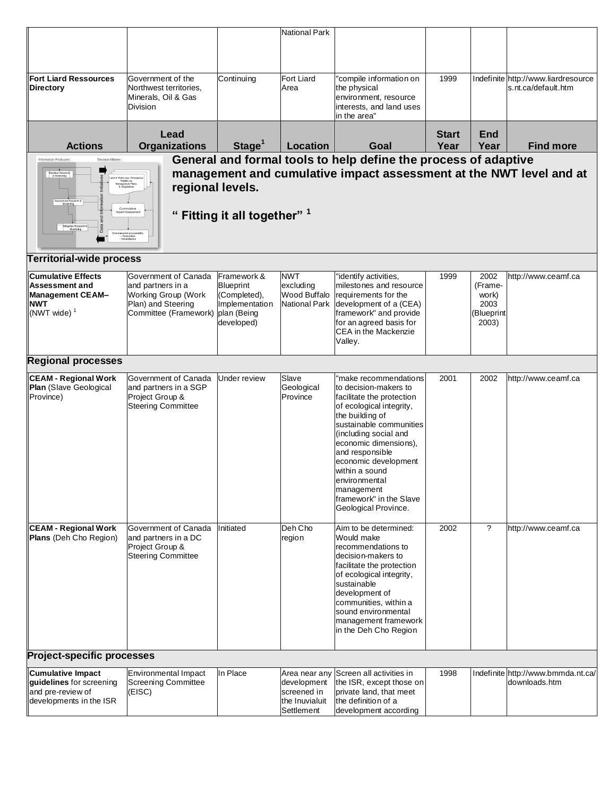|                                                                                                                          |                                                                                                                             |                                                                          | <b>National Park</b>                                                        |                                                                                                                                                                                                                                                                                                                                                        |              |                                                         |                                                            |
|--------------------------------------------------------------------------------------------------------------------------|-----------------------------------------------------------------------------------------------------------------------------|--------------------------------------------------------------------------|-----------------------------------------------------------------------------|--------------------------------------------------------------------------------------------------------------------------------------------------------------------------------------------------------------------------------------------------------------------------------------------------------------------------------------------------------|--------------|---------------------------------------------------------|------------------------------------------------------------|
|                                                                                                                          |                                                                                                                             |                                                                          |                                                                             |                                                                                                                                                                                                                                                                                                                                                        |              |                                                         |                                                            |
|                                                                                                                          |                                                                                                                             |                                                                          |                                                                             |                                                                                                                                                                                                                                                                                                                                                        |              |                                                         |                                                            |
| <b>Fort Liard Ressources</b><br><b>Directory</b>                                                                         | Government of the<br>Northwest territories,<br>Minerals, Oil & Gas<br><b>Division</b>                                       | Continuing                                                               | Fort Liard<br>Area                                                          | 'compile information on<br>the physical<br>environment, resource<br>interests, and land uses<br>lin the area"                                                                                                                                                                                                                                          | 1999         |                                                         | Indefinite http://www.liardresource<br>s.nt.ca/default.htm |
|                                                                                                                          | Lead                                                                                                                        |                                                                          |                                                                             |                                                                                                                                                                                                                                                                                                                                                        | <b>Start</b> | <b>End</b>                                              |                                                            |
| <b>Actions</b>                                                                                                           | <b>Organizations</b>                                                                                                        | Stage <sup>1</sup>                                                       | <b>Location</b>                                                             | Goal                                                                                                                                                                                                                                                                                                                                                   | Year         | Year                                                    | <b>Find more</b>                                           |
| Decision Makers<br>Information Producers<br><b>Baseline Research</b><br>& Monitoring<br>& Water-use- Ei<br>Wildlife etc  | .etc.<br>anagement Plan.<br>& Regulation<br>regional levels.<br>Cummulative<br>Impact Assessm                               | " Fitting it all together" 1                                             |                                                                             | General and formal tools to help define the process of adaptive<br>management and cumulative impact assessment at the NWT level and at                                                                                                                                                                                                                 |              |                                                         |                                                            |
| Mtigation Resea<br>Monitoring                                                                                            | wironmental accountability                                                                                                  |                                                                          |                                                                             |                                                                                                                                                                                                                                                                                                                                                        |              |                                                         |                                                            |
| <b>Territorial-wide process</b>                                                                                          |                                                                                                                             |                                                                          |                                                                             |                                                                                                                                                                                                                                                                                                                                                        |              |                                                         |                                                            |
| <b>Cumulative Effects</b><br><b>Assessment and</b><br><b>Management CEAM-</b><br><b>NWT</b><br>$(NWT$ wide) <sup>1</sup> | Government of Canada<br>and partners in a<br>Working Group (Work<br>Plan) and Steering<br>Committee (Framework) plan (Being | Framework &<br>Blueprint<br>(Completed),<br>Implementation<br>developed) | <b>NWT</b><br>excluding<br>Wood Buffalo<br><b>National Park</b>             | "identify activities,<br>milestones and resource<br>requirements for the<br>development of a (CEA)<br>framework" and provide<br>for an agreed basis for<br>CEA in the Mackenzie<br>Valley.                                                                                                                                                             | 1999         | 2002<br>(Frame-<br>work)<br>2003<br>(Blueprint<br>2003) | http://www.ceamf.ca                                        |
| <b>Regional processes</b>                                                                                                |                                                                                                                             |                                                                          |                                                                             |                                                                                                                                                                                                                                                                                                                                                        |              |                                                         |                                                            |
| <b>CEAM - Regional Work</b><br>Plan (Slave Geological<br>Province)                                                       | Government of Canada<br>and partners in a SGP<br>Project Group &<br><b>Steering Committee</b>                               | Under review                                                             | Slave<br>Geological<br>Province                                             | 'make recommendations<br>to decision-makers to<br>facilitate the protection<br>of ecological integrity,<br>the building of<br>sustainable communities<br>(including social and<br>economic dimensions),<br>and responsible<br>economic development<br>within a sound<br>environmental<br>management<br>framework" in the Slave<br>Geological Province. | 2001         | 2002                                                    | http://www.ceamf.ca                                        |
| <b>CEAM - Regional Work</b><br>Plans (Deh Cho Region)                                                                    | Government of Canada<br>and partners in a DC<br>Project Group &<br><b>Steering Committee</b>                                | Initiated                                                                | Deh Cho<br>region                                                           | Aim to be determined:<br>Would make<br>recommendations to<br>decision-makers to<br>facilitate the protection<br>of ecological integrity,<br>sustainable<br>development of<br>communities, within a<br>sound environmental<br>management framework<br>in the Deh Cho Region                                                                             | 2002         | $\overline{\phantom{a}}$                                | http://www.ceamf.ca                                        |
| <b>Project-specific processes</b>                                                                                        |                                                                                                                             |                                                                          |                                                                             |                                                                                                                                                                                                                                                                                                                                                        |              |                                                         |                                                            |
| <b>Cumulative Impact</b><br>guidelines for screening<br>and pre-review of<br>developments in the ISR                     | <b>Environmental Impact</b><br><b>Screening Committee</b><br>(EISC)                                                         | In Place                                                                 | Area near any<br>development<br>screened in<br>the Inuvialuit<br>Settlement | Screen all activities in<br>the ISR, except those on<br>private land, that meet<br>the definition of a<br>development according                                                                                                                                                                                                                        | 1998         |                                                         | Indefinite http://www.bmmda.nt.ca/<br>downloads.htm        |